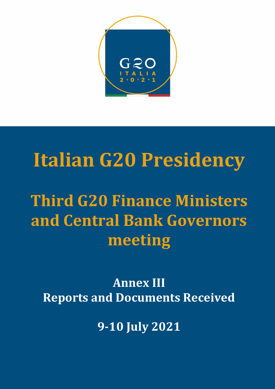

# **Italian G20 Presidency**

**Third G20 Finance Ministers and Central Bank Governors meeting** 

**Annex III Reports and Documents Received** 

**9-10 July 2021**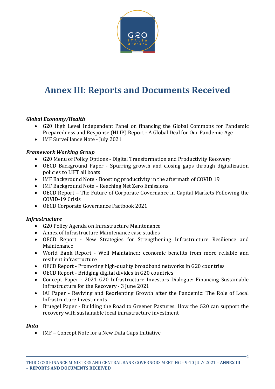

# **Annex III: Reports and Documents Received**

#### *Global Economy/Health*

- G20 High Level Independent Panel on financing the Global Commons for Pandemic Preparedness and Response (HLIP) Report - A Global Deal for Our Pandemic Age
- IMF Surveillance Note July 2021

#### *Framework Working Group*

- G20 Menu of Policy Options Digital Transformation and Productivity Recovery
- OECD Background Paper Spurring growth and closing gaps through digitalization policies to LIFT all boats
- IMF Background Note Boosting productivity in the aftermath of COVID 19
- IMF Background Note Reaching Net Zero Emissions
- OECD Report The Future of Corporate Governance in Capital Markets Following the COVID-19 Crisis
- OECD Corporate Governance Factbook 2021

#### *Infrastructure*

- G20 Policy Agenda on Infrastructure Maintenance
- Annex of Infrastructure Maintenance case studies
- OECD Report New Strategies for Strengthening Infrastructure Resilience and Maintenance
- World Bank Report Well Maintained: economic benefits from more reliable and resilient infrastructure
- OECD Report Promoting high-quality broadband networks in G20 countries
- OECD Report Bridging digital divides in G20 countries
- Concept Paper 2021 G20 Infrastructure Investors Dialogue: Financing Sustainable Infrastructure for the Recovery - 3 June 2021
- IAI Paper Reviving and Reorienting Growth after the Pandemic: The Role of Local Infrastructure Investments
- Bruegel Paper Building the Road to Greener Pastures: How the G20 can support the recovery with sustainable local infrastructure investment

#### *Data*

IMF – Concept Note for a New Data Gaps Initiative

2